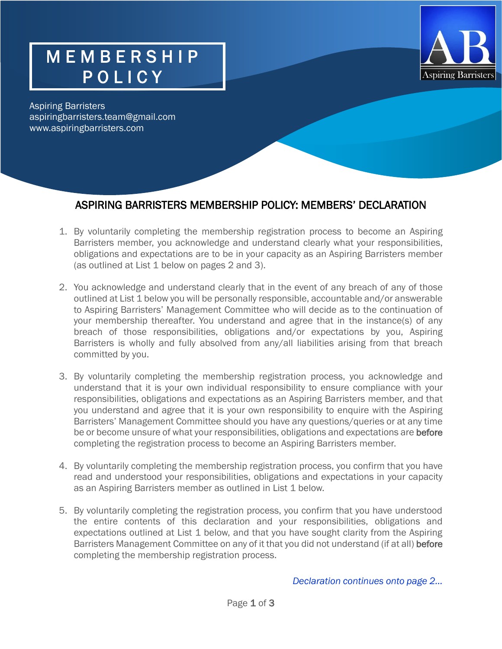### M E M B E R S H I P POLICY



Aspiring Barristers aspiringbarristers.team@gmail.com www.aspiringbarristers.com

#### ASPIRING BARRISTERS MEMBERSHIP POLICY: MEMBERS' DECLARATION

- 1. By voluntarily completing the membership registration process to become an Aspiring Barristers member, you acknowledge and understand clearly what your responsibilities, obligations and expectations are to be in your capacity as an Aspiring Barristers member (as outlined at List 1 below on pages 2 and 3).
- 2. You acknowledge and understand clearly that in the event of any breach of any of those outlined at List 1 below you will be personally responsible, accountable and/or answerable to Aspiring Barristers' Management Committee who will decide as to the continuation of your membership thereafter. You understand and agree that in the instance(s) of any breach of those responsibilities, obligations and/or expectations by you, Aspiring Barristers is wholly and fully absolved from any/all liabilities arising from that breach committed by you.
- 3. By voluntarily completing the membership registration process, you acknowledge and understand that it is your own individual responsibility to ensure compliance with your responsibilities, obligations and expectations as an Aspiring Barristers member, and that you understand and agree that it is your own responsibility to enquire with the Aspiring Barristers' Management Committee should you have any questions/queries or at any time be or become unsure of what your responsibilities, obligations and expectations are before completing the registration process to become an Aspiring Barristers member.
- 4. By voluntarily completing the membership registration process, you confirm that you have read and understood your responsibilities, obligations and expectations in your capacity as an Aspiring Barristers member as outlined in List 1 below.
- 5. By voluntarily completing the registration process, you confirm that you have understood the entire contents of this declaration and your responsibilities, obligations and expectations outlined at List 1 below, and that you have sought clarity from the Aspiring Barristers Management Committee on any of it that you did not understand (if at all) before completing the membership registration process.

 *Declaration continues onto page 2…*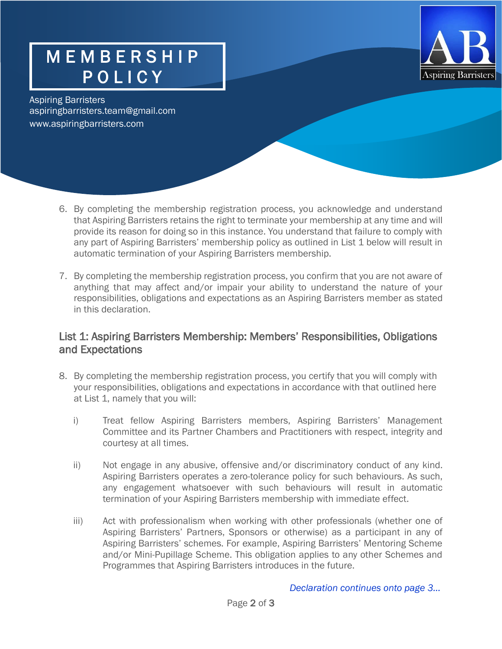

# M E M B E R S H I P POLICY

Aspiring Barristers aspiringbarristers.team@gmail.com [www.aspiringbarristers.com](http://www.aspiringbarristers.com/)

- 6. By completing the membership registration process, you acknowledge and understand that Aspiring Barristers retains the right to terminate your membership at any time and will provide its reason for doing so in this instance. You understand that failure to comply with any part of Aspiring Barristers' membership policy as outlined in List 1 below will result in automatic termination of your Aspiring Barristers membership.
- 7. By completing the membership registration process, you confirm that you are not aware of anything that may affect and/or impair your ability to understand the nature of your responsibilities, obligations and expectations as an Aspiring Barristers member as stated in this declaration.

#### List 1: Aspiring Barristers Membership: Members' Responsibilities, Obligations and Expectations

- 8. By completing the membership registration process, you certify that you will comply with your responsibilities, obligations and expectations in accordance with that outlined here at List 1, namely that you will:
	- i) Treat fellow Aspiring Barristers members, Aspiring Barristers' Management Committee and its Partner Chambers and Practitioners with respect, integrity and courtesy at all times.
	- ii) Not engage in any abusive, offensive and/or discriminatory conduct of any kind. Aspiring Barristers operates a zero-tolerance policy for such behaviours. As such, any engagement whatsoever with such behaviours will result in automatic termination of your Aspiring Barristers membership with immediate effect.
	- iii) Act with professionalism when working with other professionals (whether one of Aspiring Barristers' Partners, Sponsors or otherwise) as a participant in any of Aspiring Barristers' schemes. For example, Aspiring Barristers' Mentoring Scheme and/or Mini-Pupillage Scheme. This obligation applies to any other Schemes and Programmes that Aspiring Barristers introduces in the future.

 *Declaration continues onto page 3…*